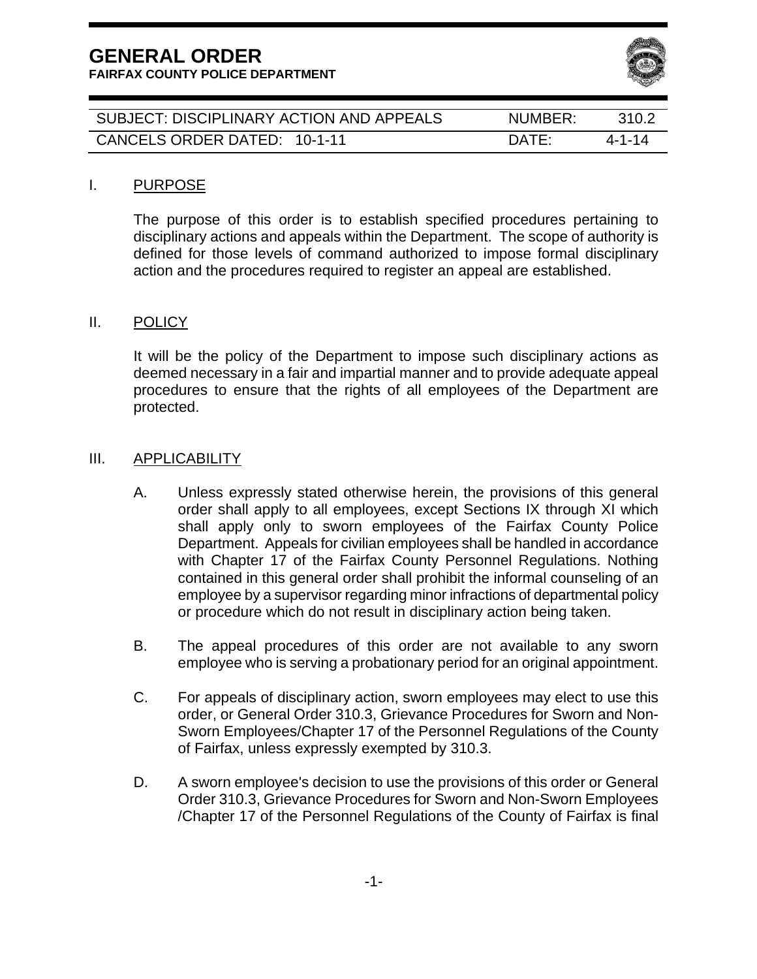**FAIRFAX COUNTY POLICE DEPARTMENT** 



| SUBJECT: DISCIPLINARY ACTION AND APPEALS | NUMBER:         | 310.2  |
|------------------------------------------|-----------------|--------|
| CANCELS ORDER DATED: 10-1-11             | $\mathsf{DATF}$ | 4-1-14 |

#### I. PURPOSE

The purpose of this order is to establish specified procedures pertaining to disciplinary actions and appeals within the Department. The scope of authority is defined for those levels of command authorized to impose formal disciplinary action and the procedures required to register an appeal are established.

#### II. POLICY

It will be the policy of the Department to impose such disciplinary actions as deemed necessary in a fair and impartial manner and to provide adequate appeal procedures to ensure that the rights of all employees of the Department are protected.

#### III. APPLICABILITY

- A. Unless expressly stated otherwise herein, the provisions of this general order shall apply to all employees, except Sections IX through XI which shall apply only to sworn employees of the Fairfax County Police Department. Appeals for civilian employees shall be handled in accordance with Chapter 17 of the Fairfax County Personnel Regulations. Nothing contained in this general order shall prohibit the informal counseling of an employee by a supervisor regarding minor infractions of departmental policy or procedure which do not result in disciplinary action being taken.
- B. The appeal procedures of this order are not available to any sworn employee who is serving a probationary period for an original appointment.
- C. For appeals of disciplinary action, sworn employees may elect to use this order, or General Order 310.3, Grievance Procedures for Sworn and Non-Sworn Employees/Chapter 17 of the Personnel Regulations of the County of Fairfax, unless expressly exempted by 310.3.
- D. A sworn employee's decision to use the provisions of this order or General Order 310.3, Grievance Procedures for Sworn and Non-Sworn Employees /Chapter 17 of the Personnel Regulations of the County of Fairfax is final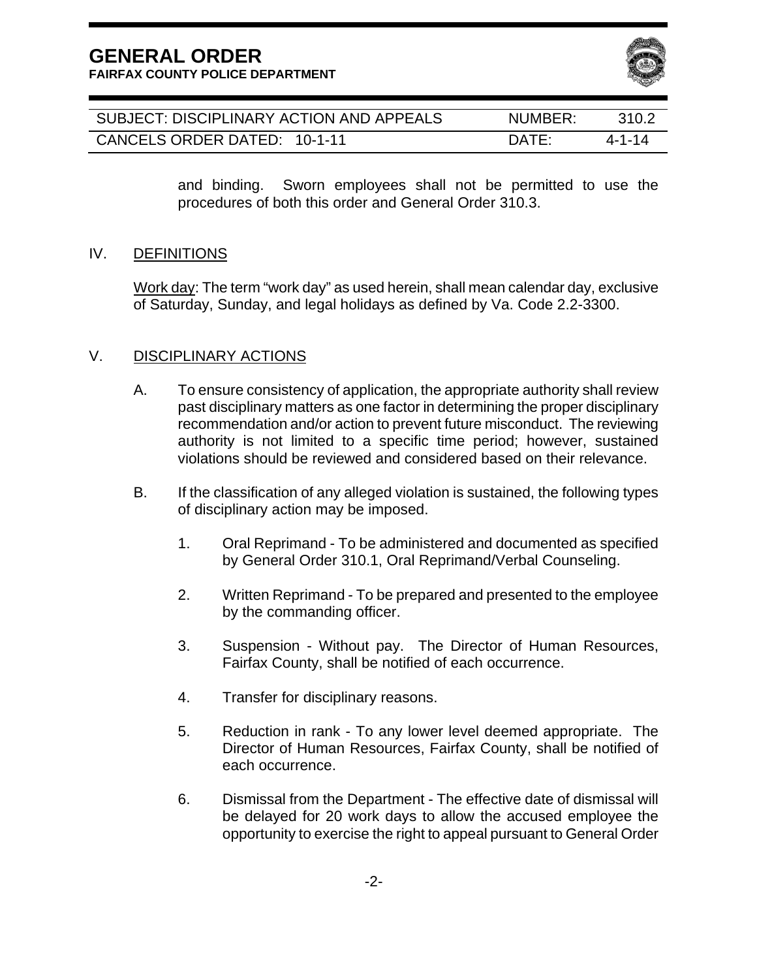**FAIRFAX COUNTY POLICE DEPARTMENT** 



| SUBJECT: DISCIPLINARY ACTION AND APPEALS | NUMBER:         | 310.2  |
|------------------------------------------|-----------------|--------|
| CANCELS ORDER DATED: 10-1-11             | $\mathsf{DATF}$ | 4-1-14 |

and binding. Sworn employees shall not be permitted to use the procedures of both this order and General Order 310.3.

#### IV. DEFINITIONS

Work day: The term "work day" as used herein, shall mean calendar day, exclusive of Saturday, Sunday, and legal holidays as defined by Va. Code 2.2-3300.

#### V. DISCIPLINARY ACTIONS

- A. To ensure consistency of application, the appropriate authority shall review past disciplinary matters as one factor in determining the proper disciplinary recommendation and/or action to prevent future misconduct. The reviewing authority is not limited to a specific time period; however, sustained violations should be reviewed and considered based on their relevance.
- B. If the classification of any alleged violation is sustained, the following types of disciplinary action may be imposed.
	- 1. Oral Reprimand To be administered and documented as specified by General Order 310.1, Oral Reprimand/Verbal Counseling.
	- 2. Written Reprimand To be prepared and presented to the employee by the commanding officer.
	- 3. Suspension Without pay. The Director of Human Resources, Fairfax County, shall be notified of each occurrence.
	- 4. Transfer for disciplinary reasons.
	- 5. Reduction in rank To any lower level deemed appropriate. The Director of Human Resources, Fairfax County, shall be notified of each occurrence.
	- 6. Dismissal from the Department The effective date of dismissal will be delayed for 20 work days to allow the accused employee the opportunity to exercise the right to appeal pursuant to General Order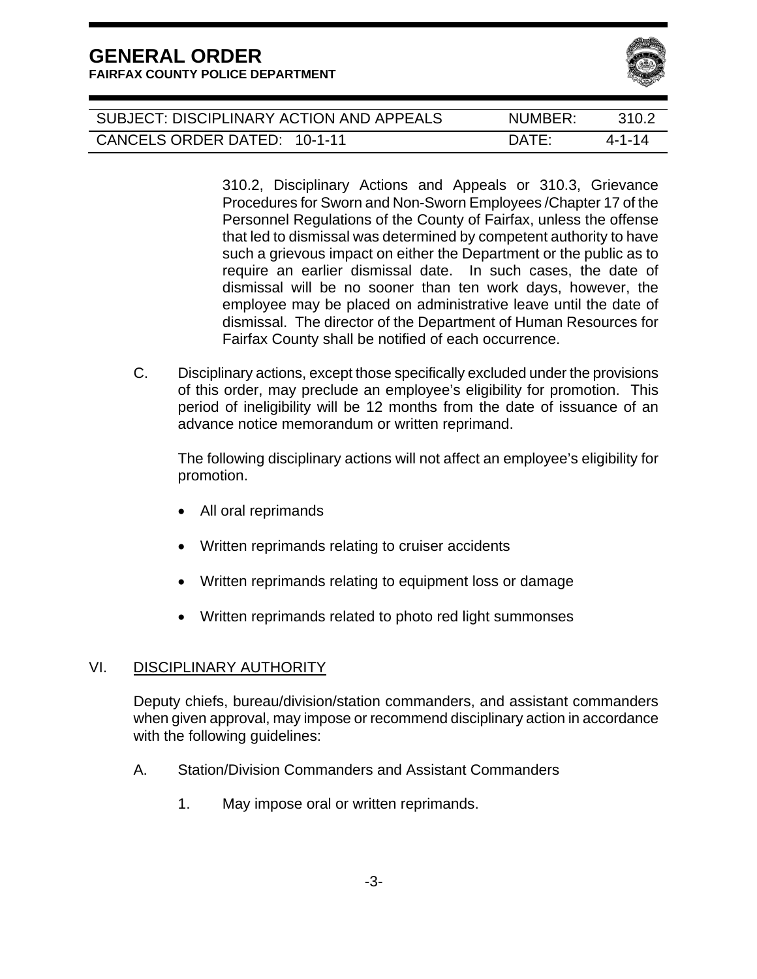| SUBJECT: DISCIPLINARY ACTION AND APPEALS | NUMBER:         | 310 2  |
|------------------------------------------|-----------------|--------|
| CANCELS ORDER DATED: 10-1-11             | $\mathsf{DATF}$ | 4-1-14 |

310.2, Disciplinary Actions and Appeals or 310.3, Grievance Procedures for Sworn and Non-Sworn Employees /Chapter 17 of the Personnel Regulations of the County of Fairfax, unless the offense that led to dismissal was determined by competent authority to have such a grievous impact on either the Department or the public as to require an earlier dismissal date. In such cases, the date of dismissal will be no sooner than ten work days, however, the employee may be placed on administrative leave until the date of dismissal. The director of the Department of Human Resources for Fairfax County shall be notified of each occurrence.

C. Disciplinary actions, except those specifically excluded under the provisions of this order, may preclude an employee's eligibility for promotion. This period of ineligibility will be 12 months from the date of issuance of an advance notice memorandum or written reprimand.

 The following disciplinary actions will not affect an employee's eligibility for promotion.

- All oral reprimands
- Written reprimands relating to cruiser accidents
- Written reprimands relating to equipment loss or damage
- Written reprimands related to photo red light summonses

#### VI. DISCIPLINARY AUTHORITY

Deputy chiefs, bureau/division/station commanders, and assistant commanders when given approval, may impose or recommend disciplinary action in accordance with the following guidelines:

- A. Station/Division Commanders and Assistant Commanders
	- 1. May impose oral or written reprimands.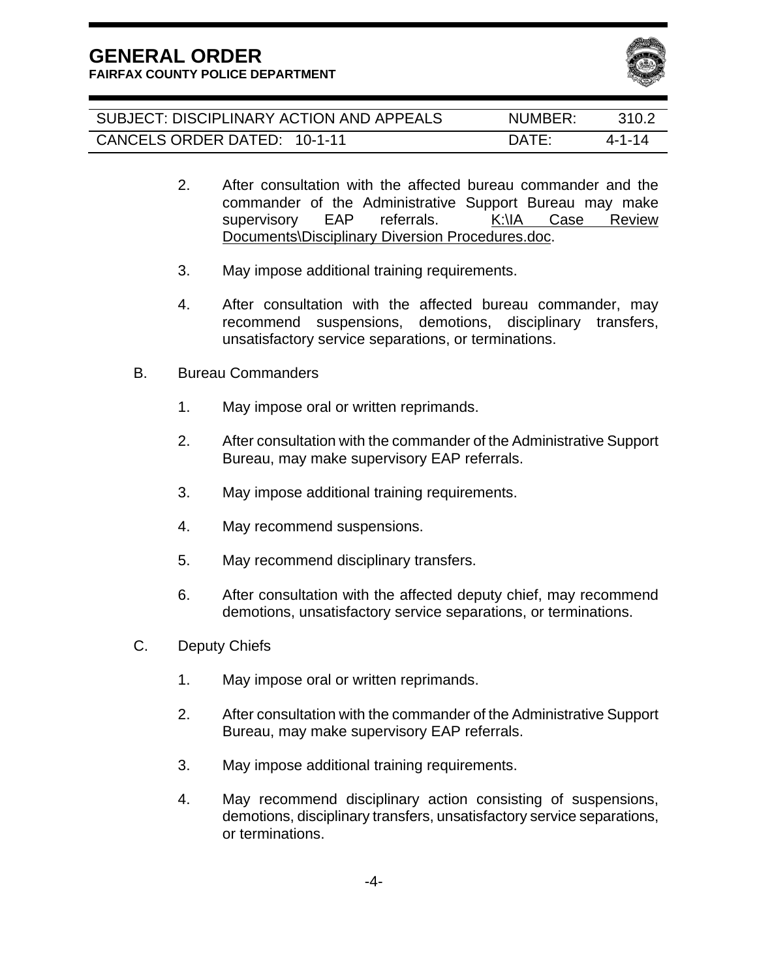

| SUBJECT: DISCIPLINARY ACTION AND APPEALS | NUMBER:         | 310.2  |
|------------------------------------------|-----------------|--------|
| CANCELS ORDER DATED: 10-1-11             | $\mathsf{DATF}$ | 4-1-14 |

- 2. After consultation with the affected bureau commander and the commander of the Administrative Support Bureau may make supervisory EAP referrals. K:\IA Case Review Documents\Disciplinary Diversion Procedures.doc.
- 3. May impose additional training requirements.
- 4. After consultation with the affected bureau commander, may recommend suspensions, demotions, disciplinary transfers, unsatisfactory service separations, or terminations.
- B. Bureau Commanders
	- 1. May impose oral or written reprimands.
	- 2. After consultation with the commander of the Administrative Support Bureau, may make supervisory EAP referrals.
	- 3. May impose additional training requirements.
	- 4. May recommend suspensions.
	- 5. May recommend disciplinary transfers.
	- 6. After consultation with the affected deputy chief, may recommend demotions, unsatisfactory service separations, or terminations.
- C. Deputy Chiefs
	- 1. May impose oral or written reprimands.
	- 2. After consultation with the commander of the Administrative Support Bureau, may make supervisory EAP referrals.
	- 3. May impose additional training requirements.
	- 4. May recommend disciplinary action consisting of suspensions, demotions, disciplinary transfers, unsatisfactory service separations, or terminations.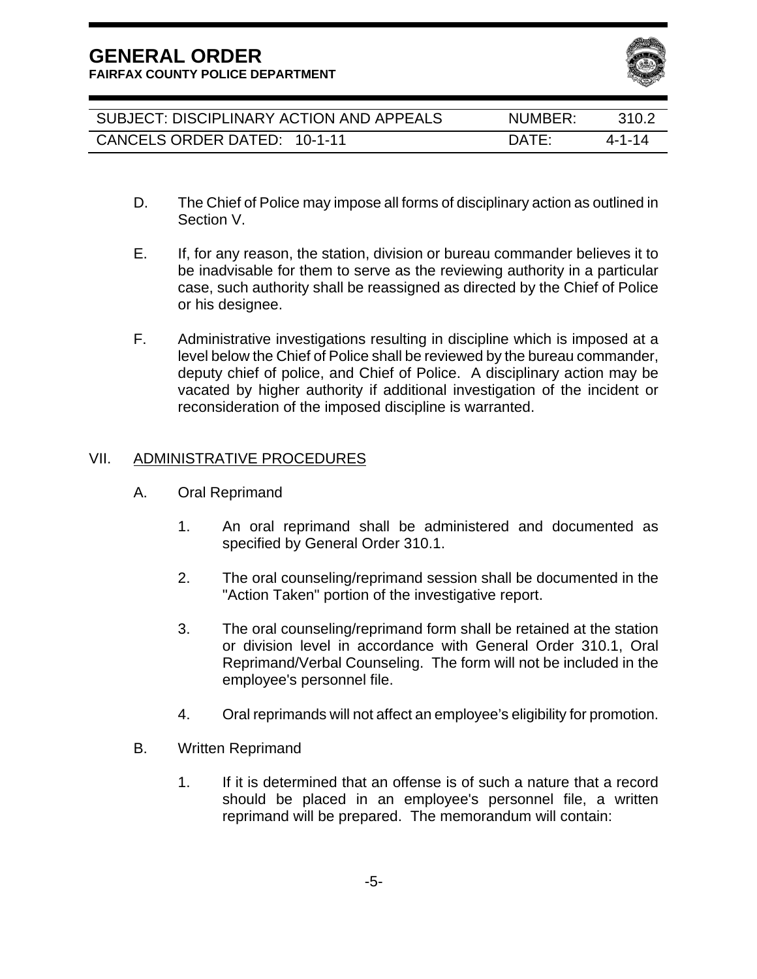**FAIRFAX COUNTY POLICE DEPARTMENT** 



| SUBJECT: DISCIPLINARY ACTION AND APPEALS | NUMBER:         | 310.2  |
|------------------------------------------|-----------------|--------|
| CANCELS ORDER DATED: 10-1-11             | $\mathsf{DATF}$ | 4-1-14 |

- D. The Chief of Police may impose all forms of disciplinary action as outlined in Section V.
- E. If, for any reason, the station, division or bureau commander believes it to be inadvisable for them to serve as the reviewing authority in a particular case, such authority shall be reassigned as directed by the Chief of Police or his designee.
- F. Administrative investigations resulting in discipline which is imposed at a level below the Chief of Police shall be reviewed by the bureau commander, deputy chief of police, and Chief of Police. A disciplinary action may be vacated by higher authority if additional investigation of the incident or reconsideration of the imposed discipline is warranted.

#### VII. ADMINISTRATIVE PROCEDURES

- A. Oral Reprimand
	- 1. An oral reprimand shall be administered and documented as specified by General Order 310.1.
	- 2. The oral counseling/reprimand session shall be documented in the "Action Taken" portion of the investigative report.
	- 3. The oral counseling/reprimand form shall be retained at the station or division level in accordance with General Order 310.1, Oral Reprimand/Verbal Counseling. The form will not be included in the employee's personnel file.
	- 4. Oral reprimands will not affect an employee's eligibility for promotion.
- B. Written Reprimand
	- 1. If it is determined that an offense is of such a nature that a record should be placed in an employee's personnel file, a written reprimand will be prepared. The memorandum will contain: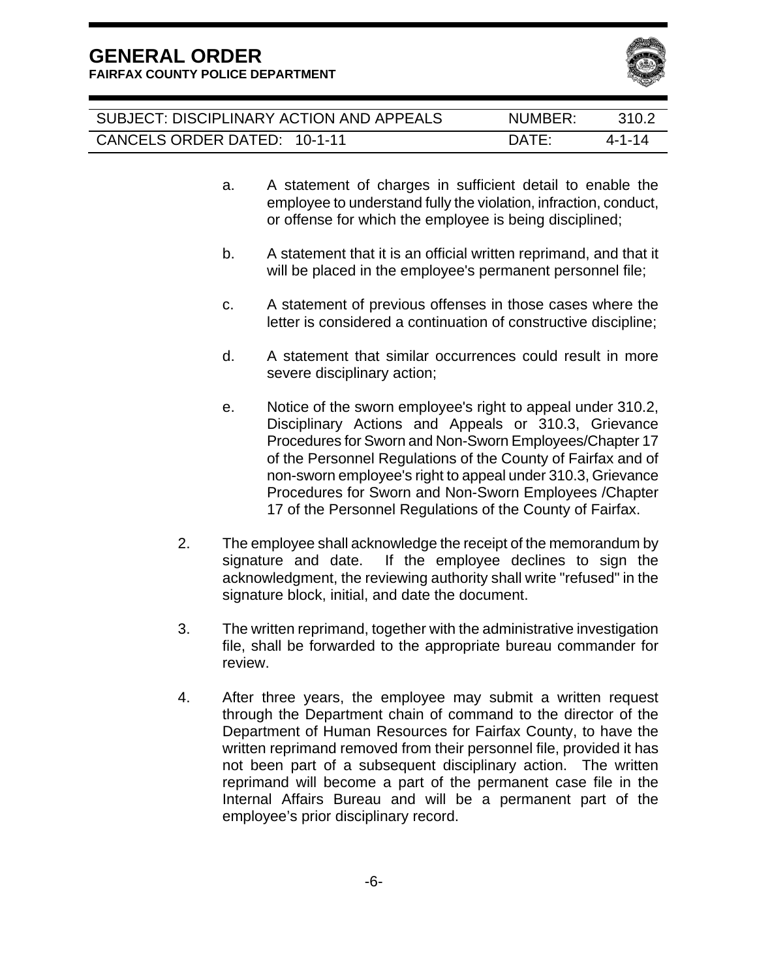

| SUBJECT: DISCIPLINARY ACTION AND APPEALS | NUMBER:         | 310.2  |
|------------------------------------------|-----------------|--------|
| CANCELS ORDER DATED: 10-1-11             | $\mathsf{DATF}$ | 4-1-14 |

- a. A statement of charges in sufficient detail to enable the employee to understand fully the violation, infraction, conduct, or offense for which the employee is being disciplined;
- b. A statement that it is an official written reprimand, and that it will be placed in the employee's permanent personnel file;
- c. A statement of previous offenses in those cases where the letter is considered a continuation of constructive discipline;
- d. A statement that similar occurrences could result in more severe disciplinary action;
- e. Notice of the sworn employee's right to appeal under 310.2, Disciplinary Actions and Appeals or 310.3, Grievance Procedures for Sworn and Non-Sworn Employees/Chapter 17 of the Personnel Regulations of the County of Fairfax and of non-sworn employee's right to appeal under 310.3, Grievance Procedures for Sworn and Non-Sworn Employees /Chapter 17 of the Personnel Regulations of the County of Fairfax.
- 2. The employee shall acknowledge the receipt of the memorandum by signature and date. If the employee declines to sign the acknowledgment, the reviewing authority shall write "refused" in the signature block, initial, and date the document.
- 3. The written reprimand, together with the administrative investigation file, shall be forwarded to the appropriate bureau commander for review.
- 4. After three years, the employee may submit a written request through the Department chain of command to the director of the Department of Human Resources for Fairfax County, to have the written reprimand removed from their personnel file, provided it has not been part of a subsequent disciplinary action. The written reprimand will become a part of the permanent case file in the Internal Affairs Bureau and will be a permanent part of the employee's prior disciplinary record.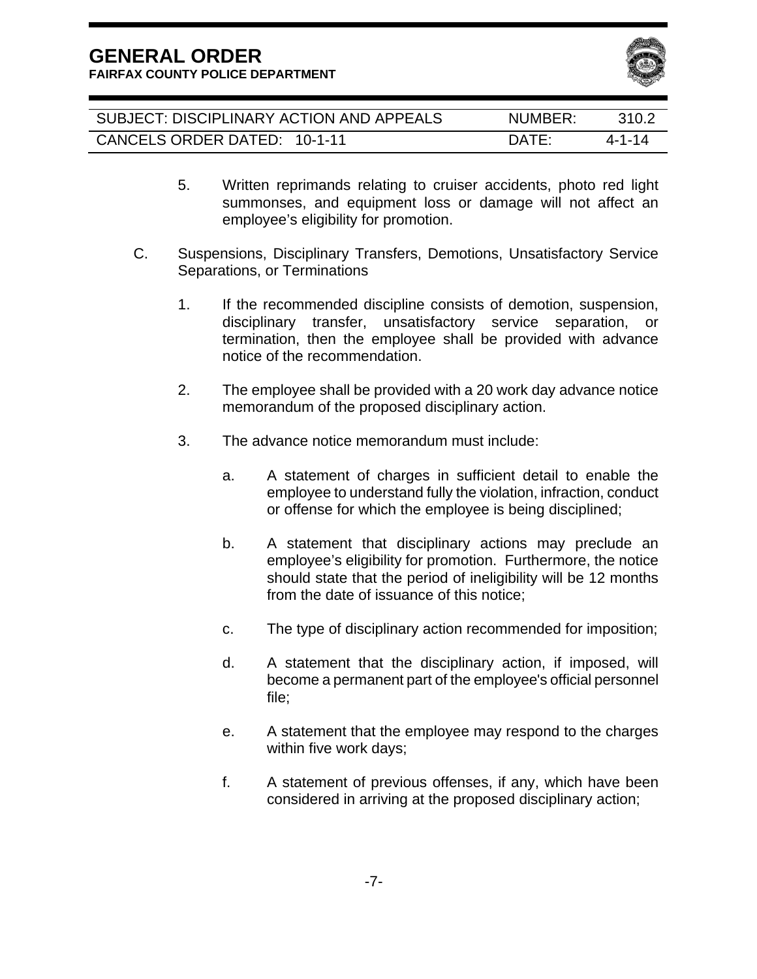

| SUBJECT: DISCIPLINARY ACTION AND APPEALS | NUMBER:      | 310.2  |
|------------------------------------------|--------------|--------|
| CANCELS ORDER DATED: 10-1-11             | <b>DATE:</b> | 4-1-14 |

- 5. Written reprimands relating to cruiser accidents, photo red light summonses, and equipment loss or damage will not affect an employee's eligibility for promotion.
- C. Suspensions, Disciplinary Transfers, Demotions, Unsatisfactory Service Separations, or Terminations
	- 1. If the recommended discipline consists of demotion, suspension, disciplinary transfer, unsatisfactory service separation, or termination, then the employee shall be provided with advance notice of the recommendation.
	- 2. The employee shall be provided with a 20 work day advance notice memorandum of the proposed disciplinary action.
	- 3. The advance notice memorandum must include:
		- a. A statement of charges in sufficient detail to enable the employee to understand fully the violation, infraction, conduct or offense for which the employee is being disciplined;
		- b. A statement that disciplinary actions may preclude an employee's eligibility for promotion. Furthermore, the notice should state that the period of ineligibility will be 12 months from the date of issuance of this notice;
		- c. The type of disciplinary action recommended for imposition;
		- d. A statement that the disciplinary action, if imposed, will become a permanent part of the employee's official personnel file;
		- e. A statement that the employee may respond to the charges within five work days;
		- f. A statement of previous offenses, if any, which have been considered in arriving at the proposed disciplinary action;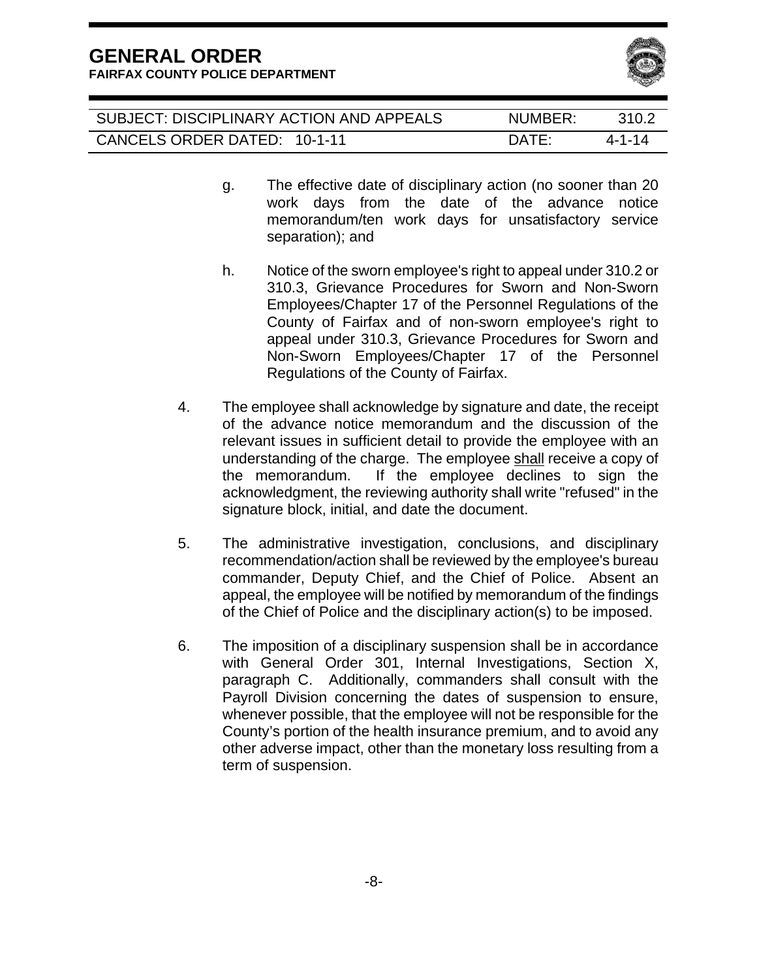

| SUBJECT: DISCIPLINARY ACTION AND APPEALS | NUMBER:         | 310.2  |
|------------------------------------------|-----------------|--------|
| CANCELS ORDER DATED: 10-1-11             | $\mathsf{DATF}$ | 4-1-14 |

- g. The effective date of disciplinary action (no sooner than 20 work days from the date of the advance notice memorandum/ten work days for unsatisfactory service separation); and
- h. Notice of the sworn employee's right to appeal under 310.2 or 310.3, Grievance Procedures for Sworn and Non-Sworn Employees/Chapter 17 of the Personnel Regulations of the County of Fairfax and of non-sworn employee's right to appeal under 310.3, Grievance Procedures for Sworn and Non-Sworn Employees/Chapter 17 of the Personnel Regulations of the County of Fairfax.
- 4. The employee shall acknowledge by signature and date, the receipt of the advance notice memorandum and the discussion of the relevant issues in sufficient detail to provide the employee with an understanding of the charge. The employee shall receive a copy of the memorandum. If the employee declines to sign the acknowledgment, the reviewing authority shall write "refused" in the signature block, initial, and date the document.
- 5. The administrative investigation, conclusions, and disciplinary recommendation/action shall be reviewed by the employee's bureau commander, Deputy Chief, and the Chief of Police. Absent an appeal, the employee will be notified by memorandum of the findings of the Chief of Police and the disciplinary action(s) to be imposed.
- 6. The imposition of a disciplinary suspension shall be in accordance with General Order 301, Internal Investigations, Section X, paragraph C. Additionally, commanders shall consult with the Payroll Division concerning the dates of suspension to ensure, whenever possible, that the employee will not be responsible for the County's portion of the health insurance premium, and to avoid any other adverse impact, other than the monetary loss resulting from a term of suspension.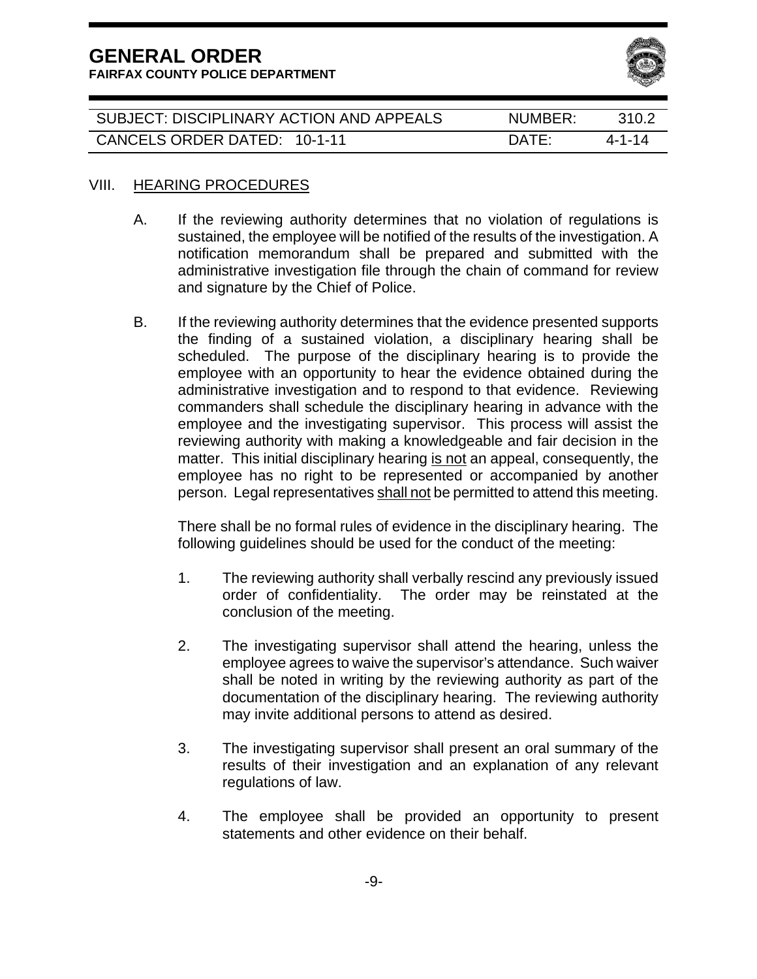**GENERAL ORDER FAIRFAX COUNTY POLICE DEPARTMENT** 



| SUBJECT: DISCIPLINARY ACTION AND APPEALS | NUMBER:                         | 3102   |
|------------------------------------------|---------------------------------|--------|
| CANCELS ORDER DATED: 10-1-11             | $\overline{D}$ ATF <sup>.</sup> | 4-1-14 |

#### VIII. HEARING PROCEDURES

- A. If the reviewing authority determines that no violation of regulations is sustained, the employee will be notified of the results of the investigation. A notification memorandum shall be prepared and submitted with the administrative investigation file through the chain of command for review and signature by the Chief of Police.
- B. If the reviewing authority determines that the evidence presented supports the finding of a sustained violation, a disciplinary hearing shall be scheduled. The purpose of the disciplinary hearing is to provide the employee with an opportunity to hear the evidence obtained during the administrative investigation and to respond to that evidence. Reviewing commanders shall schedule the disciplinary hearing in advance with the employee and the investigating supervisor. This process will assist the reviewing authority with making a knowledgeable and fair decision in the matter. This initial disciplinary hearing is not an appeal, consequently, the employee has no right to be represented or accompanied by another person. Legal representatives shall not be permitted to attend this meeting.

There shall be no formal rules of evidence in the disciplinary hearing. The following guidelines should be used for the conduct of the meeting:

- 1. The reviewing authority shall verbally rescind any previously issued order of confidentiality. The order may be reinstated at the conclusion of the meeting.
- 2. The investigating supervisor shall attend the hearing, unless the employee agrees to waive the supervisor's attendance. Such waiver shall be noted in writing by the reviewing authority as part of the documentation of the disciplinary hearing. The reviewing authority may invite additional persons to attend as desired.
- 3. The investigating supervisor shall present an oral summary of the results of their investigation and an explanation of any relevant regulations of law.
- 4. The employee shall be provided an opportunity to present statements and other evidence on their behalf.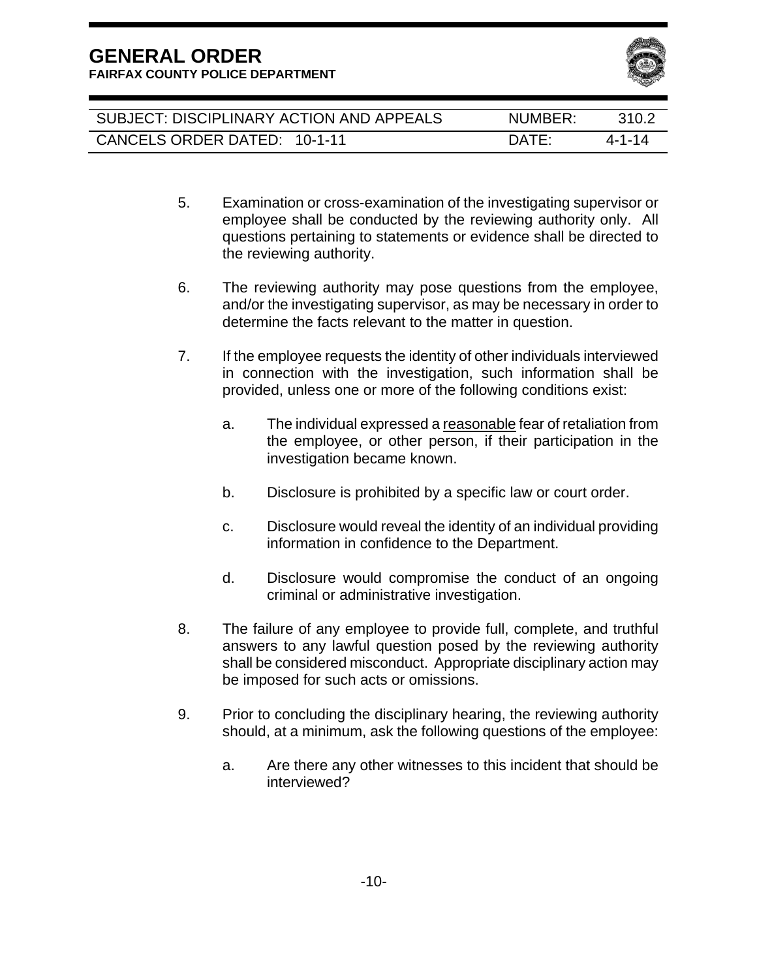

| SUBJECT: DISCIPLINARY ACTION AND APPEALS | NUMBER:      | 310.2  |
|------------------------------------------|--------------|--------|
| CANCELS ORDER DATED: 10-1-11             | <b>DATE:</b> | 4-1-14 |

- 5. Examination or cross-examination of the investigating supervisor or employee shall be conducted by the reviewing authority only. All questions pertaining to statements or evidence shall be directed to the reviewing authority.
- 6. The reviewing authority may pose questions from the employee, and/or the investigating supervisor, as may be necessary in order to determine the facts relevant to the matter in question.
- 7. If the employee requests the identity of other individuals interviewed in connection with the investigation, such information shall be provided, unless one or more of the following conditions exist:
	- a. The individual expressed a reasonable fear of retaliation from the employee, or other person, if their participation in the investigation became known.
	- b. Disclosure is prohibited by a specific law or court order.
	- c. Disclosure would reveal the identity of an individual providing information in confidence to the Department.
	- d. Disclosure would compromise the conduct of an ongoing criminal or administrative investigation.
- 8. The failure of any employee to provide full, complete, and truthful answers to any lawful question posed by the reviewing authority shall be considered misconduct. Appropriate disciplinary action may be imposed for such acts or omissions.
- 9. Prior to concluding the disciplinary hearing, the reviewing authority should, at a minimum, ask the following questions of the employee:
	- a. Are there any other witnesses to this incident that should be interviewed?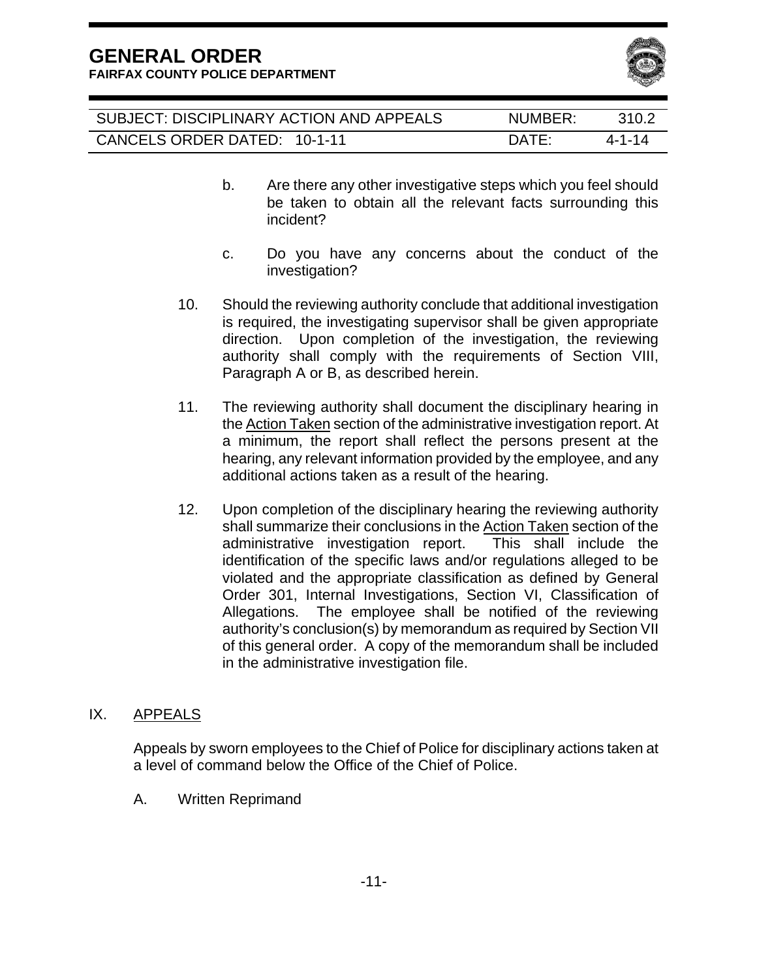**FAIRFAX COUNTY POLICE DEPARTMENT** 



| SUBJECT: DISCIPLINARY ACTION AND APPEALS | NUMBER:      | 310.2  |
|------------------------------------------|--------------|--------|
| CANCELS ORDER DATED: 10-1-11             | <b>DATE:</b> | 4-1-14 |

- b. Are there any other investigative steps which you feel should be taken to obtain all the relevant facts surrounding this incident?
- c. Do you have any concerns about the conduct of the investigation?
- 10. Should the reviewing authority conclude that additional investigation is required, the investigating supervisor shall be given appropriate direction. Upon completion of the investigation, the reviewing authority shall comply with the requirements of Section VIII, Paragraph A or B, as described herein.
- 11. The reviewing authority shall document the disciplinary hearing in the Action Taken section of the administrative investigation report. At a minimum, the report shall reflect the persons present at the hearing, any relevant information provided by the employee, and any additional actions taken as a result of the hearing.
- 12. Upon completion of the disciplinary hearing the reviewing authority shall summarize their conclusions in the Action Taken section of the administrative investigation report. This shall include the identification of the specific laws and/or regulations alleged to be violated and the appropriate classification as defined by General Order 301, Internal Investigations, Section VI, Classification of Allegations. The employee shall be notified of the reviewing authority's conclusion(s) by memorandum as required by Section VII of this general order. A copy of the memorandum shall be included in the administrative investigation file.

#### IX. APPEALS

Appeals by sworn employees to the Chief of Police for disciplinary actions taken at a level of command below the Office of the Chief of Police.

A. Written Reprimand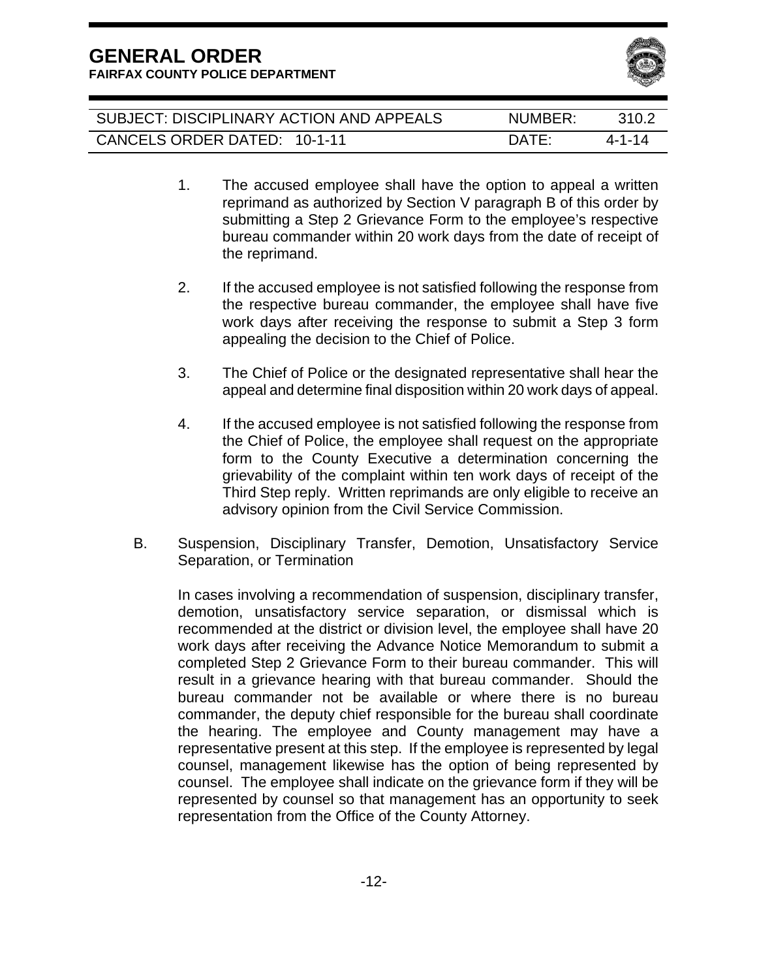**FAIRFAX COUNTY POLICE DEPARTMENT** 



| SUBJECT: DISCIPLINARY ACTION AND APPEALS | NUMBER:         | 310.2  |
|------------------------------------------|-----------------|--------|
| CANCELS ORDER DATED: 10-1-11             | $\mathsf{DATF}$ | 4-1-14 |

- 1. The accused employee shall have the option to appeal a written reprimand as authorized by Section V paragraph B of this order by submitting a Step 2 Grievance Form to the employee's respective bureau commander within 20 work days from the date of receipt of the reprimand.
- 2. If the accused employee is not satisfied following the response from the respective bureau commander, the employee shall have five work days after receiving the response to submit a Step 3 form appealing the decision to the Chief of Police.
- 3. The Chief of Police or the designated representative shall hear the appeal and determine final disposition within 20 work days of appeal.
- 4. If the accused employee is not satisfied following the response from the Chief of Police, the employee shall request on the appropriate form to the County Executive a determination concerning the grievability of the complaint within ten work days of receipt of the Third Step reply. Written reprimands are only eligible to receive an advisory opinion from the Civil Service Commission.
- B. Suspension, Disciplinary Transfer, Demotion, Unsatisfactory Service Separation, or Termination

 In cases involving a recommendation of suspension, disciplinary transfer, demotion, unsatisfactory service separation, or dismissal which is recommended at the district or division level, the employee shall have 20 work days after receiving the Advance Notice Memorandum to submit a completed Step 2 Grievance Form to their bureau commander. This will result in a grievance hearing with that bureau commander. Should the bureau commander not be available or where there is no bureau commander, the deputy chief responsible for the bureau shall coordinate the hearing. The employee and County management may have a representative present at this step. If the employee is represented by legal counsel, management likewise has the option of being represented by counsel. The employee shall indicate on the grievance form if they will be represented by counsel so that management has an opportunity to seek representation from the Office of the County Attorney.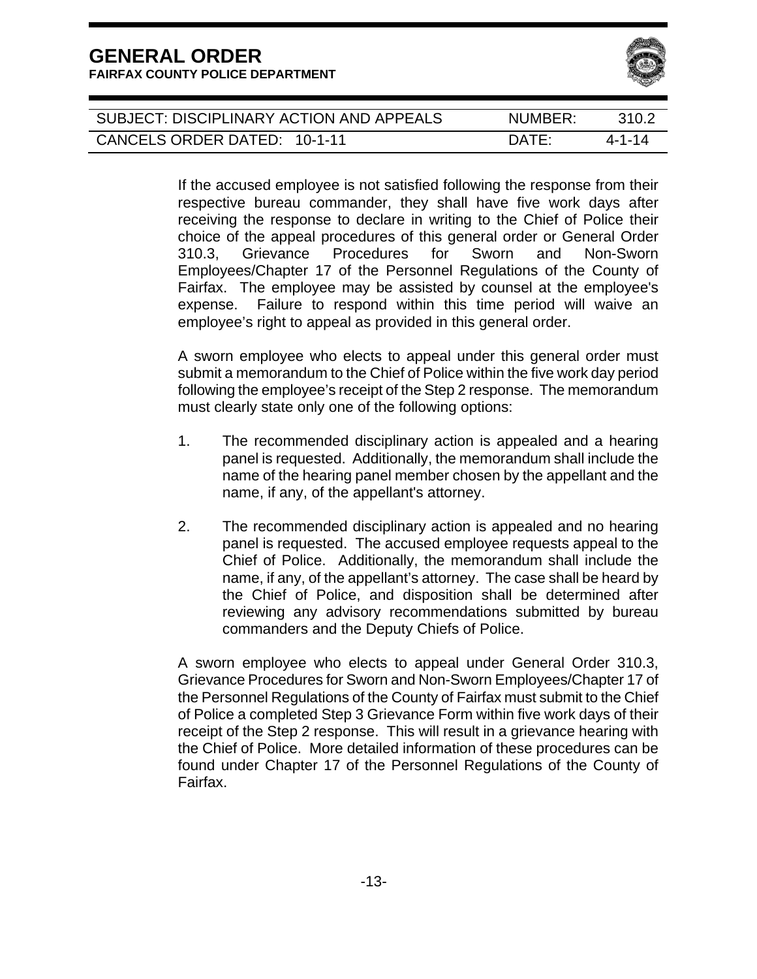

| SUBJECT: DISCIPLINARY ACTION AND APPEALS | NUMBER:      | 310.2  |
|------------------------------------------|--------------|--------|
| CANCELS ORDER DATED: 10-1-11             | <b>DATE:</b> | 4-1-14 |

If the accused employee is not satisfied following the response from their respective bureau commander, they shall have five work days after receiving the response to declare in writing to the Chief of Police their choice of the appeal procedures of this general order or General Order 310.3, Grievance Procedures for Sworn and Non-Sworn Employees/Chapter 17 of the Personnel Regulations of the County of Fairfax. The employee may be assisted by counsel at the employee's expense. Failure to respond within this time period will waive an employee's right to appeal as provided in this general order.

A sworn employee who elects to appeal under this general order must submit a memorandum to the Chief of Police within the five work day period following the employee's receipt of the Step 2 response. The memorandum must clearly state only one of the following options:

- 1. The recommended disciplinary action is appealed and a hearing panel is requested. Additionally, the memorandum shall include the name of the hearing panel member chosen by the appellant and the name, if any, of the appellant's attorney.
- 2. The recommended disciplinary action is appealed and no hearing panel is requested. The accused employee requests appeal to the Chief of Police. Additionally, the memorandum shall include the name, if any, of the appellant's attorney. The case shall be heard by the Chief of Police, and disposition shall be determined after reviewing any advisory recommendations submitted by bureau commanders and the Deputy Chiefs of Police.

A sworn employee who elects to appeal under General Order 310.3, Grievance Procedures for Sworn and Non-Sworn Employees/Chapter 17 of the Personnel Regulations of the County of Fairfax must submit to the Chief of Police a completed Step 3 Grievance Form within five work days of their receipt of the Step 2 response. This will result in a grievance hearing with the Chief of Police. More detailed information of these procedures can be found under Chapter 17 of the Personnel Regulations of the County of Fairfax.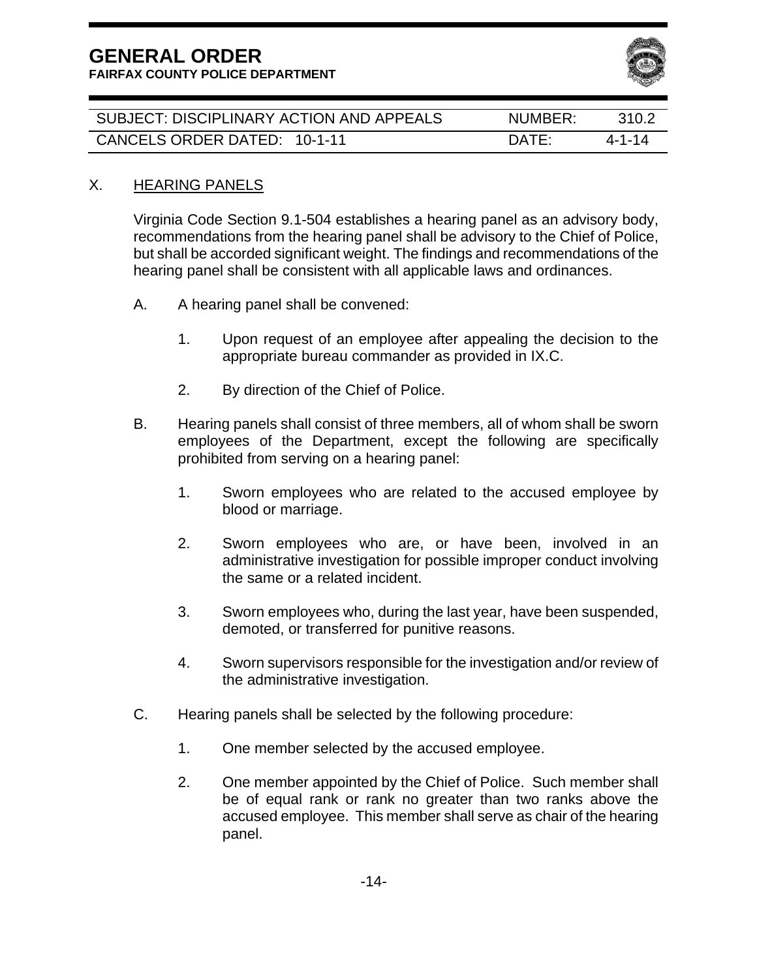**FAIRFAX COUNTY POLICE DEPARTMENT** 



| SUBJECT: DISCIPLINARY ACTION AND APPEALS | NUMBER:         | 310.2  |
|------------------------------------------|-----------------|--------|
| CANCELS ORDER DATED: 10-1-11             | $\mathsf{DATE}$ | 4-1-14 |

#### X. HEARING PANELS

Virginia Code Section 9.1-504 establishes a hearing panel as an advisory body, recommendations from the hearing panel shall be advisory to the Chief of Police, but shall be accorded significant weight. The findings and recommendations of the hearing panel shall be consistent with all applicable laws and ordinances.

- A. A hearing panel shall be convened:
	- 1. Upon request of an employee after appealing the decision to the appropriate bureau commander as provided in IX.C.
	- 2. By direction of the Chief of Police.
- B. Hearing panels shall consist of three members, all of whom shall be sworn employees of the Department, except the following are specifically prohibited from serving on a hearing panel:
	- 1. Sworn employees who are related to the accused employee by blood or marriage.
	- 2. Sworn employees who are, or have been, involved in an administrative investigation for possible improper conduct involving the same or a related incident.
	- 3. Sworn employees who, during the last year, have been suspended, demoted, or transferred for punitive reasons.
	- 4. Sworn supervisors responsible for the investigation and/or review of the administrative investigation.
- C. Hearing panels shall be selected by the following procedure:
	- 1. One member selected by the accused employee.
	- 2. One member appointed by the Chief of Police. Such member shall be of equal rank or rank no greater than two ranks above the accused employee. This member shall serve as chair of the hearing panel.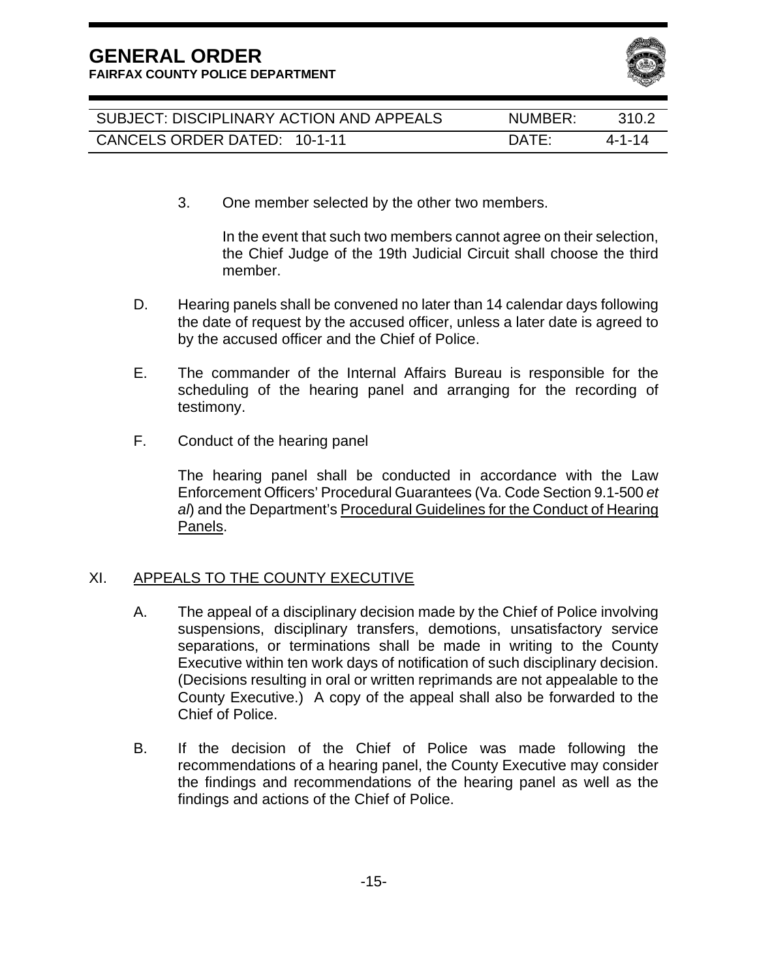**FAIRFAX COUNTY POLICE DEPARTMENT** 



| SUBJECT: DISCIPLINARY ACTION AND APPEALS | NUMBER:      | 310.2  |
|------------------------------------------|--------------|--------|
| CANCELS ORDER DATED: 10-1-11             | <b>DATE:</b> | 4-1-14 |

3. One member selected by the other two members.

In the event that such two members cannot agree on their selection, the Chief Judge of the 19th Judicial Circuit shall choose the third member.

- D. Hearing panels shall be convened no later than 14 calendar days following the date of request by the accused officer, unless a later date is agreed to by the accused officer and the Chief of Police.
- E. The commander of the Internal Affairs Bureau is responsible for the scheduling of the hearing panel and arranging for the recording of testimony.
- F. Conduct of the hearing panel

The hearing panel shall be conducted in accordance with the Law Enforcement Officers' Procedural Guarantees (Va. Code Section 9.1-500 *et*  al) and the Department's Procedural Guidelines for the Conduct of Hearing Panels.

#### XI. APPEALS TO THE COUNTY EXECUTIVE

- A. The appeal of a disciplinary decision made by the Chief of Police involving suspensions, disciplinary transfers, demotions, unsatisfactory service separations, or terminations shall be made in writing to the County Executive within ten work days of notification of such disciplinary decision. (Decisions resulting in oral or written reprimands are not appealable to the County Executive.) A copy of the appeal shall also be forwarded to the Chief of Police.
- B. If the decision of the Chief of Police was made following the recommendations of a hearing panel, the County Executive may consider the findings and recommendations of the hearing panel as well as the findings and actions of the Chief of Police.